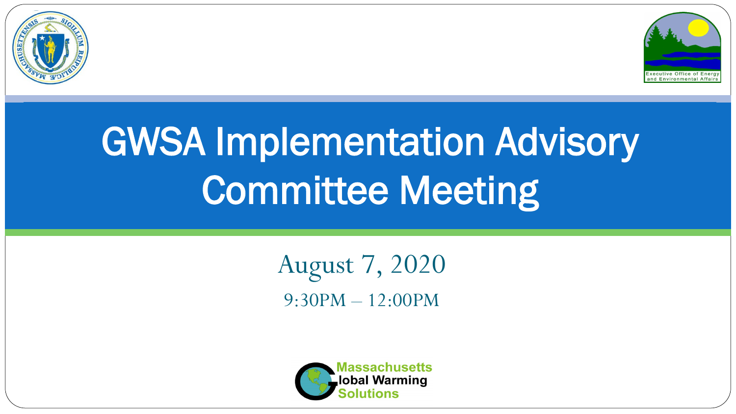



# GWSA Implementation Advisory Committee Meeting

August 7, 2020 9:30PM – 12:00PM

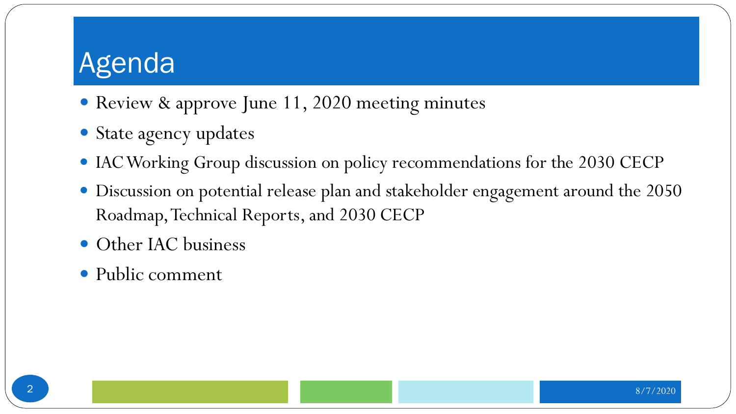- Review & approve June 11, 2020 meeting minutes
- State agency updates
- IAC Working Group discussion on policy recommendations for the 2030 CECP
- Discussion on potential release plan and stakeholder engagement around the 2050 Roadmap, Technical Reports, and 2030 CECP
- Other IAC business
- Public comment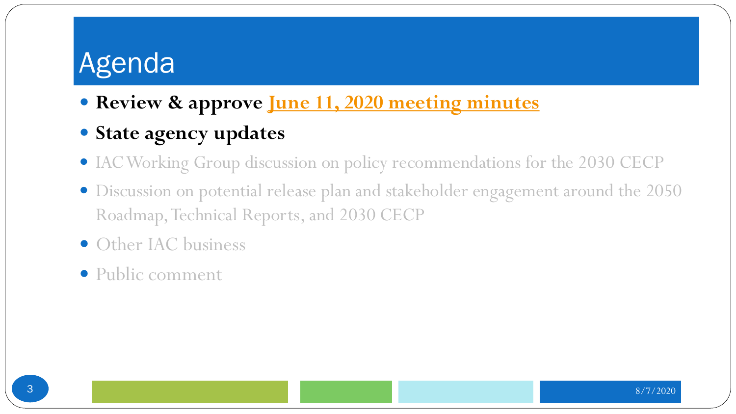- **Review & approve [June 11, 2020 meeting minutes](https://www.mass.gov/doc/draft-meeting-minutes-0/download)**
- **State agency updates**
- IAC Working Group discussion on policy recommendations for the 2030 CECP
- Discussion on potential release plan and stakeholder engagement around the 2050 Roadmap, Technical Reports, and 2030 CECP
- Other IAC business
- Public comment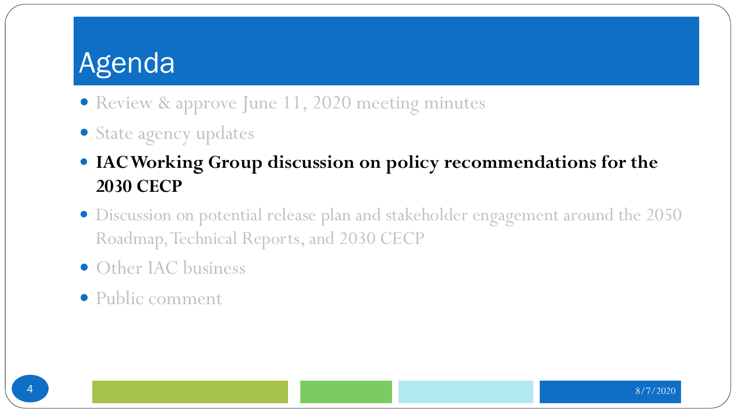- Review & approve June 11, 2020 meeting minutes
- State agency updates
- **IAC Working Group discussion on policy recommendations for the 2030 CECP**
- Discussion on potential release plan and stakeholder engagement around the 2050 Roadmap, Technical Reports, and 2030 CECP
- Other IAC business
- Public comment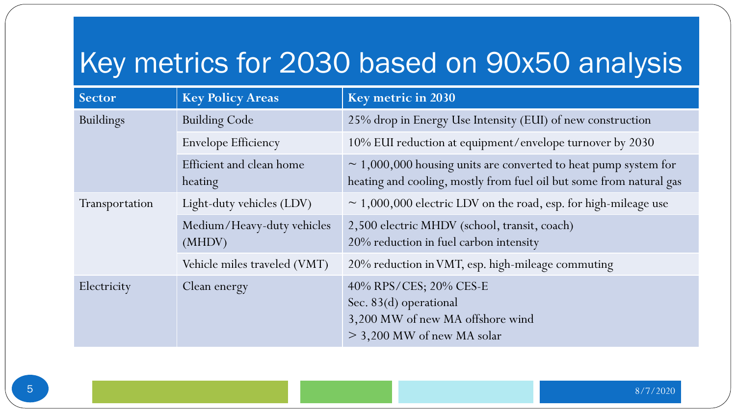# Key metrics for 2030 based on 90x50 analysis

| Sector           | <b>Key Policy Areas</b>              | <b>Key metric in 2030</b>                                                                                                                   |
|------------------|--------------------------------------|---------------------------------------------------------------------------------------------------------------------------------------------|
| <b>Buildings</b> | <b>Building Code</b>                 | 25% drop in Energy Use Intensity (EUI) of new construction                                                                                  |
|                  | <b>Envelope Efficiency</b>           | 10% EUI reduction at equipment/envelope turnover by 2030                                                                                    |
|                  | Efficient and clean home<br>heating  | $\sim$ 1,000,000 housing units are converted to heat pump system for<br>heating and cooling, mostly from fuel oil but some from natural gas |
| Transportation   | Light-duty vehicles (LDV)            | $\sim$ 1,000,000 electric LDV on the road, esp. for high-mileage use                                                                        |
|                  | Medium/Heavy-duty vehicles<br>(MHDV) | 2,500 electric MHDV (school, transit, coach)<br>20% reduction in fuel carbon intensity                                                      |
|                  | Vehicle miles traveled (VMT)         | 20% reduction in VMT, esp. high-mileage commuting                                                                                           |
| Electricity      | Clean energy                         | 40% RPS/CES; 20% CES-E<br>Sec. 83(d) operational<br>3,200 MW of new MA offshore wind<br>$>$ 3,200 MW of new MA solar                        |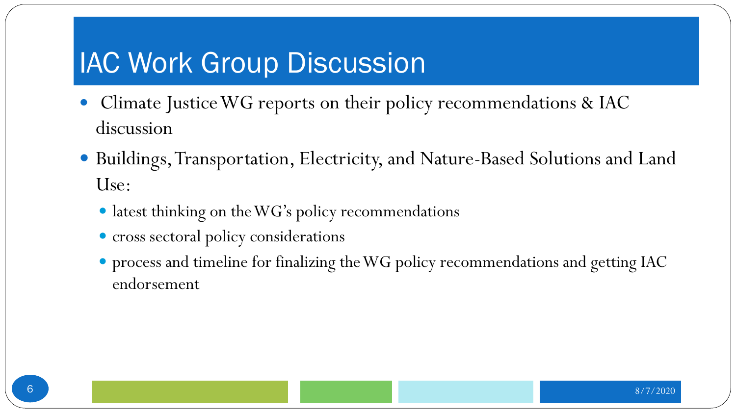#### **IAC Work Group Discussion**

- Climate Justice WG reports on their policy recommendations & IAC discussion
- Buildings, Transportation, Electricity, and Nature-Based Solutions and Land Use:
	- latest thinking on the WG's policy recommendations
	- cross sectoral policy considerations
	- process and timeline for finalizing the WG policy recommendations and getting IAC endorsement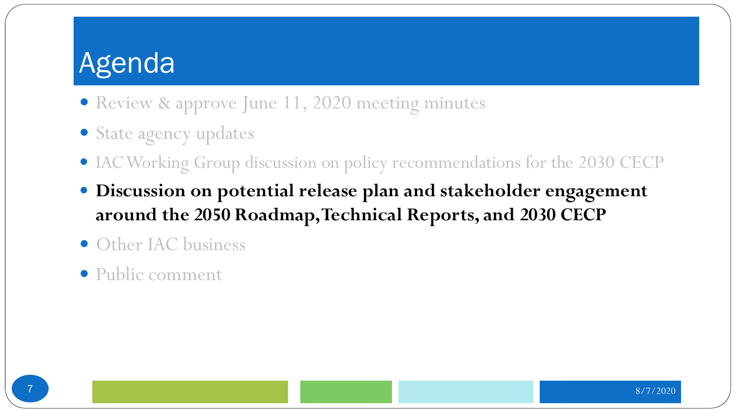- Review & approve June 11, 2020 meeting minutes
- State agency updates
- IAC Working Group discussion on policy recommendations for the 2030 CECP
- **Discussion on potential release plan and stakeholder engagement around the 2050 Roadmap, Technical Reports, and 2030 CECP**
- Other IAC business
- Public comment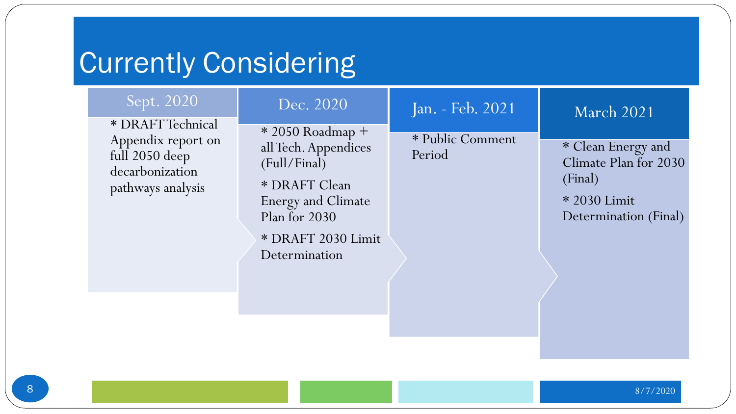## **Currently Considering**

#### Sept. 2020

\* DRAFT Technical Appendix report on full 2050 deep decarbonization pathways analysis

#### Dec. 2020

\* 2050 Roadmap + all Tech. Appendices (Full/Final)

\* DRAFT Clean Energy and Climate Plan for 2030

\* DRAFT 2030 Limit Determination

#### Jan. - Feb. 2021

\* Public Comment Period

#### March 2021

\* Clean Energy and Climate Plan for 2030 (Final)

\* 2030 Limit Determination (Final)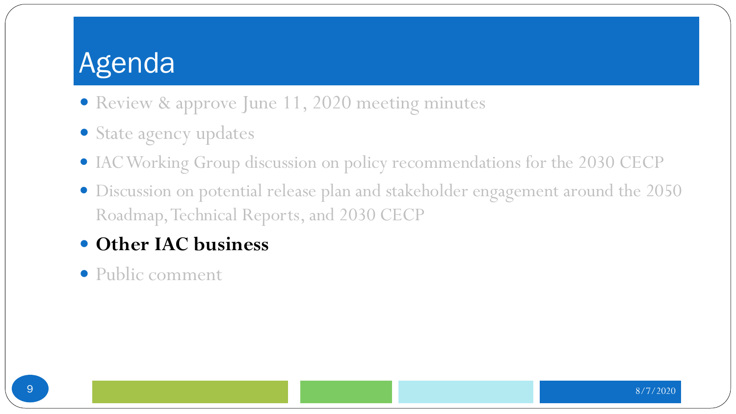- Review & approve June 11, 2020 meeting minutes
- State agency updates
- IAC Working Group discussion on policy recommendations for the 2030 CECP
- Discussion on potential release plan and stakeholder engagement around the 2050 Roadmap, Technical Reports, and 2030 CECP
- **Other IAC business**
- Public comment